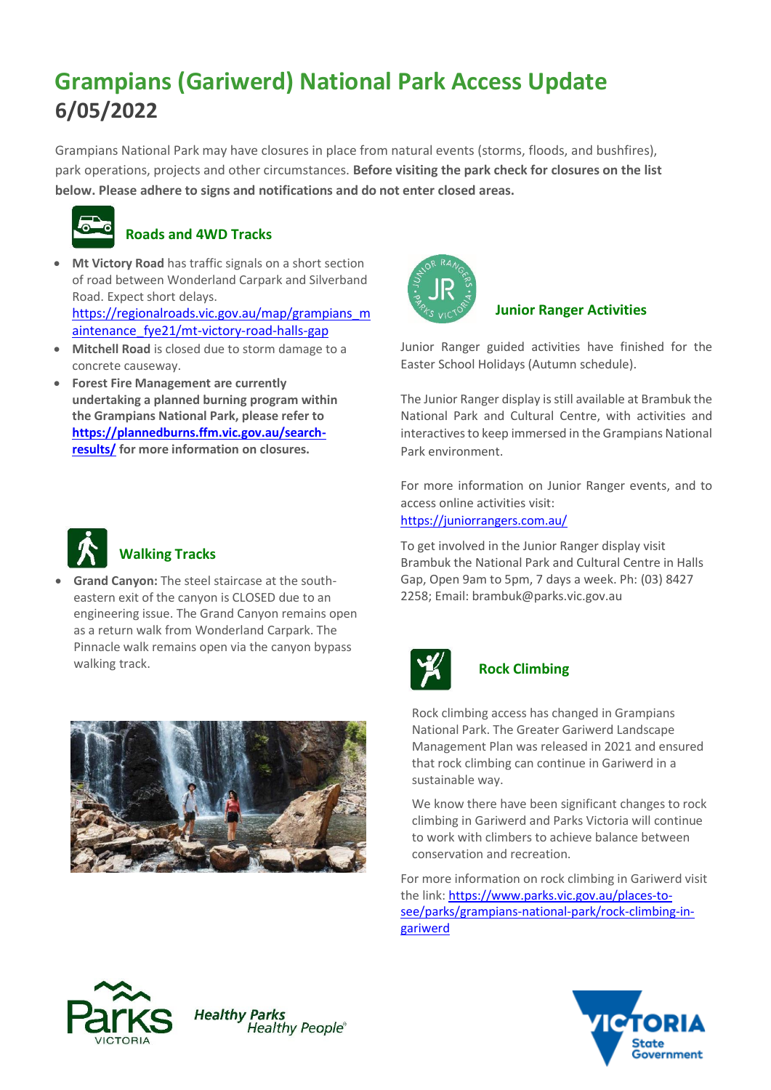# **Grampians (Gariwerd) National Park Access Update 6/05/2022**

Grampians National Park may have closures in place from natural events (storms, floods, and bushfires), park operations, projects and other circumstances. **Before visiting the park check for closures on the list below. Please adhere to signs and notifications and do not enter closed areas.**



## **Roads and 4WD Tracks**

• **Mt Victory Road** has traffic signals on a short section of road between Wonderland Carpark and Silverband Road. Expect short delays. https://regionalroads.vic.gov.au/map/grampians\_m

aintenance\_fye21/mt-victory-road-halls-gap

- **Mitchell Road** is closed due to storm damage to a concrete causeway.
- **Forest Fire Management are currently undertaking a planned burning program within the Grampians National Park, please refer to [https://plannedburns.ffm.vic.gov.au/search](https://plannedburns.ffm.vic.gov.au/search-results/)[results/](https://plannedburns.ffm.vic.gov.au/search-results/) for more information on closures.**



## **Walking Tracks**

• **Grand Canyon:** The steel staircase at the southeastern exit of the canyon is CLOSED due to an engineering issue. The Grand Canyon remains open as a return walk from Wonderland Carpark. The Pinnacle walk remains open via the canyon bypass walking track.



**Healthy People**®



## **Junior Ranger Activities**

Junior Ranger guided activities have finished for the Easter School Holidays (Autumn schedule).

The Junior Ranger display is still available at Brambuk the National Park and Cultural Centre, with activities and interactives to keep immersed in the Grampians National Park environment.

For more information on Junior Ranger events, and to access online activities visit: <https://juniorrangers.com.au/>

To get involved in the Junior Ranger display visit Brambuk the National Park and Cultural Centre in Halls Gap, Open 9am to 5pm, 7 days a week. Ph: (03) 8427 2258; Email[: brambuk@parks.vic.gov.au](mailto:brambuk@parks.vic.gov.au)



## **Rock Climbing**

Rock climbing access has changed in Grampians National Park. The Greater Gariwerd Landscape Management Plan was released in 2021 and ensured that rock climbing can continue in Gariwerd in a sustainable way.

We know there have been significant changes to rock climbing in Gariwerd and Parks Victoria will continue to work with climbers to achieve balance between conservation and recreation.

For more information on rock climbing in Gariwerd visit the link[: https://www.parks.vic.gov.au/places-to](https://www.parks.vic.gov.au/places-to-see/parks/grampians-national-park/rock-climbing-in-gariwerd)[see/parks/grampians-national-park/rock-climbing-in](https://www.parks.vic.gov.au/places-to-see/parks/grampians-national-park/rock-climbing-in-gariwerd)[gariwerd](https://www.parks.vic.gov.au/places-to-see/parks/grampians-national-park/rock-climbing-in-gariwerd)